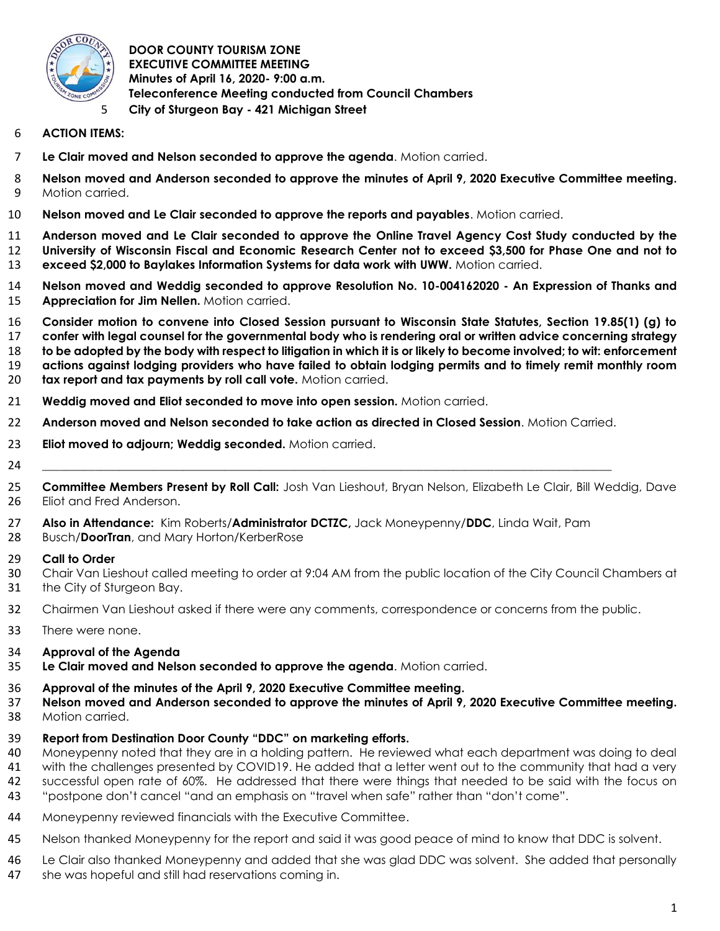

### **DOOR COUNTY TOURISM ZONE EXECUTIVE COMMITTEE MEETING Minutes of April 16, 2020- 9:00 a.m. Teleconference Meeting conducted from Council Chambers City of Sturgeon Bay - 421 Michigan Street**

- **ACTION ITEMS:**
- **Le Clair moved and Nelson seconded to approve the agenda**. Motion carried.
- **Nelson moved and Anderson seconded to approve the minutes of April 9, 2020 Executive Committee meeting.**  Motion carried.
- **Nelson moved and Le Clair seconded to approve the reports and payables**. Motion carried.
- **Anderson moved and Le Clair seconded to approve the Online Travel Agency Cost Study conducted by the University of Wisconsin Fiscal and Economic Research Center not to exceed \$3,500 for Phase One and not to exceed \$2,000 to Baylakes Information Systems for data work with UWW.** Motion carried.
- **Nelson moved and Weddig seconded to approve Resolution No. 10-004162020 - An Expression of Thanks and Appreciation for Jim Nellen.** Motion carried.
- **Consider motion to convene into Closed Session pursuant to Wisconsin State Statutes, Section 19.85(1) (g) to confer with legal counsel for the governmental body who is rendering oral or written advice concerning strategy to be adopted by the body with respect to litigation in which it is or likely to become involved; to wit: enforcement actions against lodging providers who have failed to obtain lodging permits and to timely remit monthly room tax report and tax payments by roll call vote.** Motion carried.
- **Weddig moved and Eliot seconded to move into open session.** Motion carried.
- **Anderson moved and Nelson seconded to take action as directed in Closed Session**. Motion Carried.
- **Eliot moved to adjourn; Weddig seconded.** Motion carried.
- \_\_\_\_\_\_\_\_\_\_\_\_\_\_\_\_\_\_\_\_\_\_\_\_\_\_\_\_\_\_\_\_\_\_\_\_\_\_\_\_\_\_\_\_\_\_\_\_\_\_\_\_\_\_\_\_\_\_\_\_\_\_\_\_\_\_\_\_\_\_\_\_\_\_\_\_\_\_\_\_\_\_\_\_\_\_\_\_\_\_\_\_\_\_\_\_\_
- **Committee Members Present by Roll Call:** Josh Van Lieshout, Bryan Nelson, Elizabeth Le Clair, Bill Weddig, Dave Eliot and Fred Anderson.
- **Also in Attendance:** Kim Roberts/**Administrator DCTZC,** Jack Moneypenny/**DDC**, Linda Wait, Pam
- Busch/**DoorTran**, and Mary Horton/KerberRose
- **Call to Order**
- Chair Van Lieshout called meeting to order at 9:04 AM from the public location of the City Council Chambers at the City of Sturgeon Bay.
- Chairmen Van Lieshout asked if there were any comments, correspondence or concerns from the public.
- There were none.
- **Approval of the Agenda**
- **Le Clair moved and Nelson seconded to approve the agenda**. Motion carried.
- **Approval of the minutes of the April 9, 2020 Executive Committee meeting.**
- **Nelson moved and Anderson seconded to approve the minutes of April 9, 2020 Executive Committee meeting.**
- Motion carried.
- **Report from Destination Door County "DDC" on marketing efforts.**
- Moneypenny noted that they are in a holding pattern. He reviewed what each department was doing to deal
- with the challenges presented by COVID19. He added that a letter went out to the community that had a very
- successful open rate of 60%. He addressed that there were things that needed to be said with the focus on
- "postpone don't cancel "and an emphasis on "travel when safe" rather than "don't come".
- Moneypenny reviewed financials with the Executive Committee.
- Nelson thanked Moneypenny for the report and said it was good peace of mind to know that DDC is solvent.
- Le Clair also thanked Moneypenny and added that she was glad DDC was solvent. She added that personally
- she was hopeful and still had reservations coming in.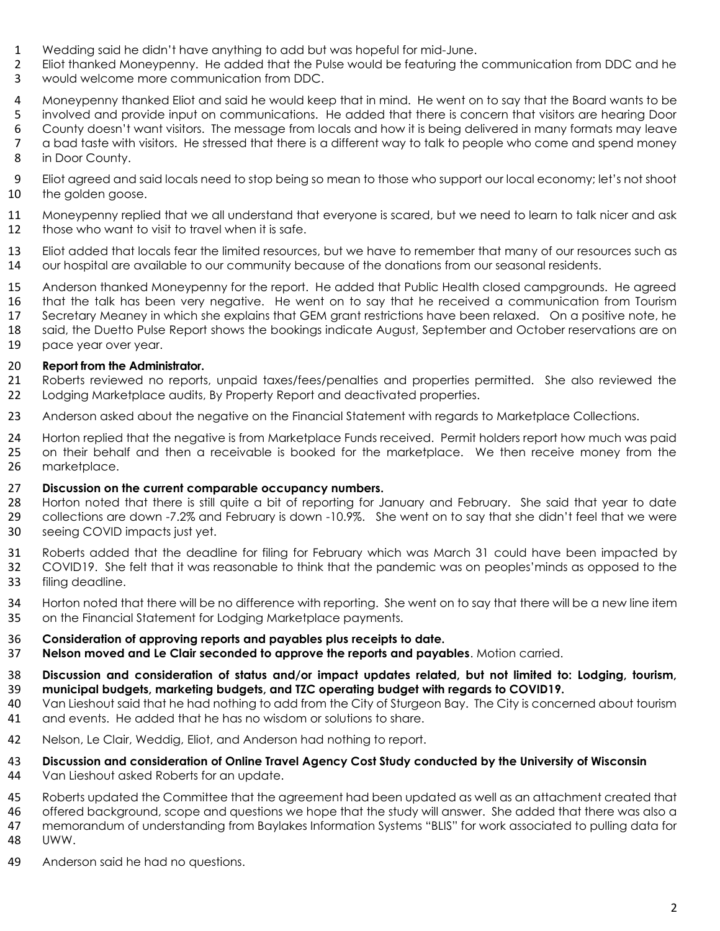- 
- 1 Wedding said he didn't have anything to add but was hopeful for mid-June.<br>2 Eliot thanked Moneypenny. He added that the Pulse would be featuring the Eliot thanked Moneypenny. He added that the Pulse would be featuring the communication from DDC and he
- would welcome more communication from DDC.
- Moneypenny thanked Eliot and said he would keep that in mind. He went on to say that the Board wants to be
- 5 involved and provide input on communications. He added that there is concern that visitors are hearing Door<br>6 County doesn't want visitors. The message from locals and how it is being delivered in many formats may leave
- County doesn't want visitors. The message from locals and how it is being delivered in many formats may leave
- a bad taste with visitors. He stressed that there is a different way to talk to people who come and spend money in Door County.
- Eliot agreed and said locals need to stop being so mean to those who support our local economy; let's not shoot the golden goose.
- Moneypenny replied that we all understand that everyone is scared, but we need to learn to talk nicer and ask those who want to visit to travel when it is safe.
- Eliot added that locals fear the limited resources, but we have to remember that many of our resources such as our hospital are available to our community because of the donations from our seasonal residents.
- Anderson thanked Moneypenny for the report. He added that Public Health closed campgrounds. He agreed that the talk has been very negative. He went on to say that he received a communication from Tourism Secretary Meaney in which she explains that GEM grant restrictions have been relaxed. On a positive note, he 18 said, the Duetto Pulse Report shows the bookings indicate August, September and October reservations are on
- pace year over year.

## **Report from the Administrator.**

- Roberts reviewed no reports, unpaid taxes/fees/penalties and properties permitted. She also reviewed the Lodging Marketplace audits, By Property Report and deactivated properties.
- 23 Anderson asked about the negative on the Financial Statement with regards to Marketplace Collections.
- Horton replied that the negative is from Marketplace Funds received. Permit holders report how much was paid on their behalf and then a receivable is booked for the marketplace. We then receive money from the marketplace.
- **Discussion on the current comparable occupancy numbers.**
- Horton noted that there is still quite a bit of reporting for January and February. She said that year to date collections are down -7.2% and February is down -10.9%. She went on to say that she didn't feel that we were seeing COVID impacts just yet.
- Roberts added that the deadline for filing for February which was March 31 could have been impacted by COVID19. She felt that it was reasonable to think that the pandemic was on peoples'minds as opposed to the filing deadline.
- Horton noted that there will be no difference with reporting. She went on to say that there will be a new line item on the Financial Statement for Lodging Marketplace payments.
- **Consideration of approving reports and payables plus receipts to date.**
- **Nelson moved and Le Clair seconded to approve the reports and payables**. Motion carried.
- **Discussion and consideration of status and/or impact updates related, but not limited to: Lodging, tourism, municipal budgets, marketing budgets, and TZC operating budget with regards to COVID19.**
- Van Lieshout said that he had nothing to add from the City of Sturgeon Bay. The City is concerned about tourism 41 and events. He added that he has no wisdom or solutions to share.
- Nelson, Le Clair, Weddig, Eliot, and Anderson had nothing to report.
- **Discussion and consideration of Online Travel Agency Cost Study conducted by the University of Wisconsin**
- Van Lieshout asked Roberts for an update.
- Roberts updated the Committee that the agreement had been updated as well as an attachment created that
- offered background, scope and questions we hope that the study will answer. She added that there was also a
- memorandum of understanding from Baylakes Information Systems "BLIS" for work associated to pulling data for
- UWW.
- Anderson said he had no questions.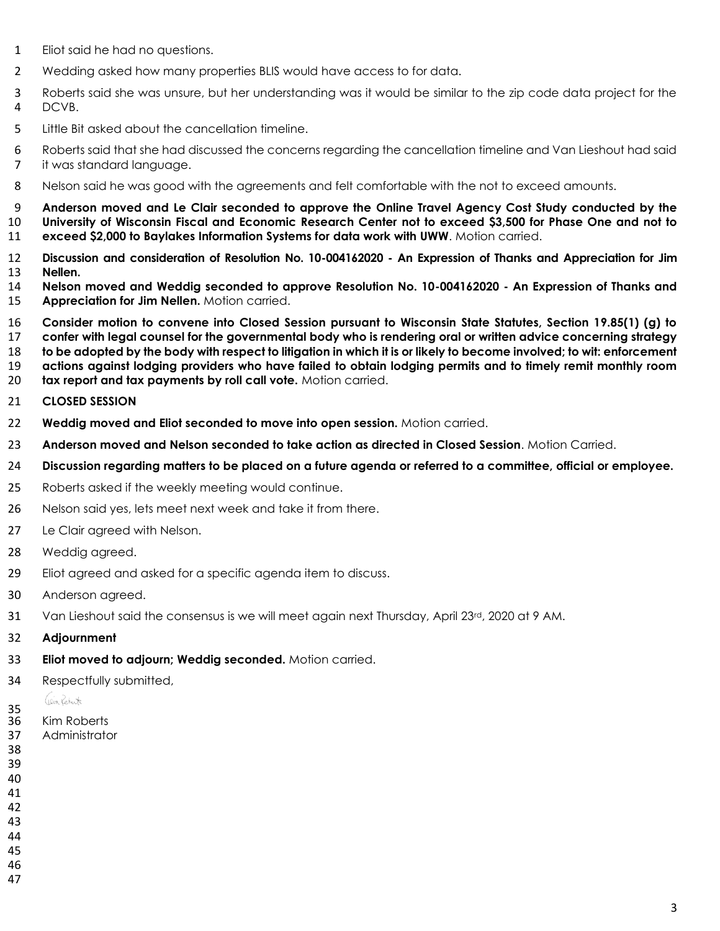- Eliot said he had no questions.
- Wedding asked how many properties BLIS would have access to for data.
- Roberts said she was unsure, but her understanding was it would be similar to the zip code data project for the DCVB.
- Little Bit asked about the cancellation timeline.
- Roberts said that she had discussed the concerns regarding the cancellation timeline and Van Lieshout had said 7 it was standard language.
- Nelson said he was good with the agreements and felt comfortable with the not to exceed amounts.
- **Anderson moved and Le Clair seconded to approve the Online Travel Agency Cost Study conducted by the University of Wisconsin Fiscal and Economic Research Center not to exceed \$3,500 for Phase One and not to exceed \$2,000 to Baylakes Information Systems for data work with UWW**. Motion carried.
- **Discussion and consideration of Resolution No. 10-004162020 - An Expression of Thanks and Appreciation for Jim Nellen.**
- **Nelson moved and Weddig seconded to approve Resolution No. 10-004162020 - An Expression of Thanks and Appreciation for Jim Nellen.** Motion carried.
- **Consider motion to convene into Closed Session pursuant to Wisconsin State Statutes, Section 19.85(1) (g) to confer with legal counsel for the governmental body who is rendering oral or written advice concerning strategy to be adopted by the body with respect to litigation in which it is or likely to become involved; to wit: enforcement actions against lodging providers who have failed to obtain lodging permits and to timely remit monthly room**
- **tax report and tax payments by roll call vote.** Motion carried.

#### **CLOSED SESSION**

- **Weddig moved and Eliot seconded to move into open session.** Motion carried.
- **Anderson moved and Nelson seconded to take action as directed in Closed Session**. Motion Carried.
- **Discussion regarding matters to be placed on a future agenda or referred to a committee, official or employee.**
- Roberts asked if the weekly meeting would continue.
- 26 Nelson said yes, lets meet next week and take it from there.
- 27 Le Clair agreed with Nelson.
- Weddig agreed.
- Eliot agreed and asked for a specific agenda item to discuss.
- Anderson agreed.
- 31 Van Lieshout said the consensus is we will meet again next Thursday, April 23<sup>rd</sup>, 2020 at 9 AM.
- **Adjournment**
- **Eliot moved to adjourn; Weddig seconded.** Motion carried.
- Respectfully submitted,

### Gein Reberts

- $\frac{35}{36}$ Kim Roberts
- Administrator
- 
- 
- 
- 
- 
- 
- 
-